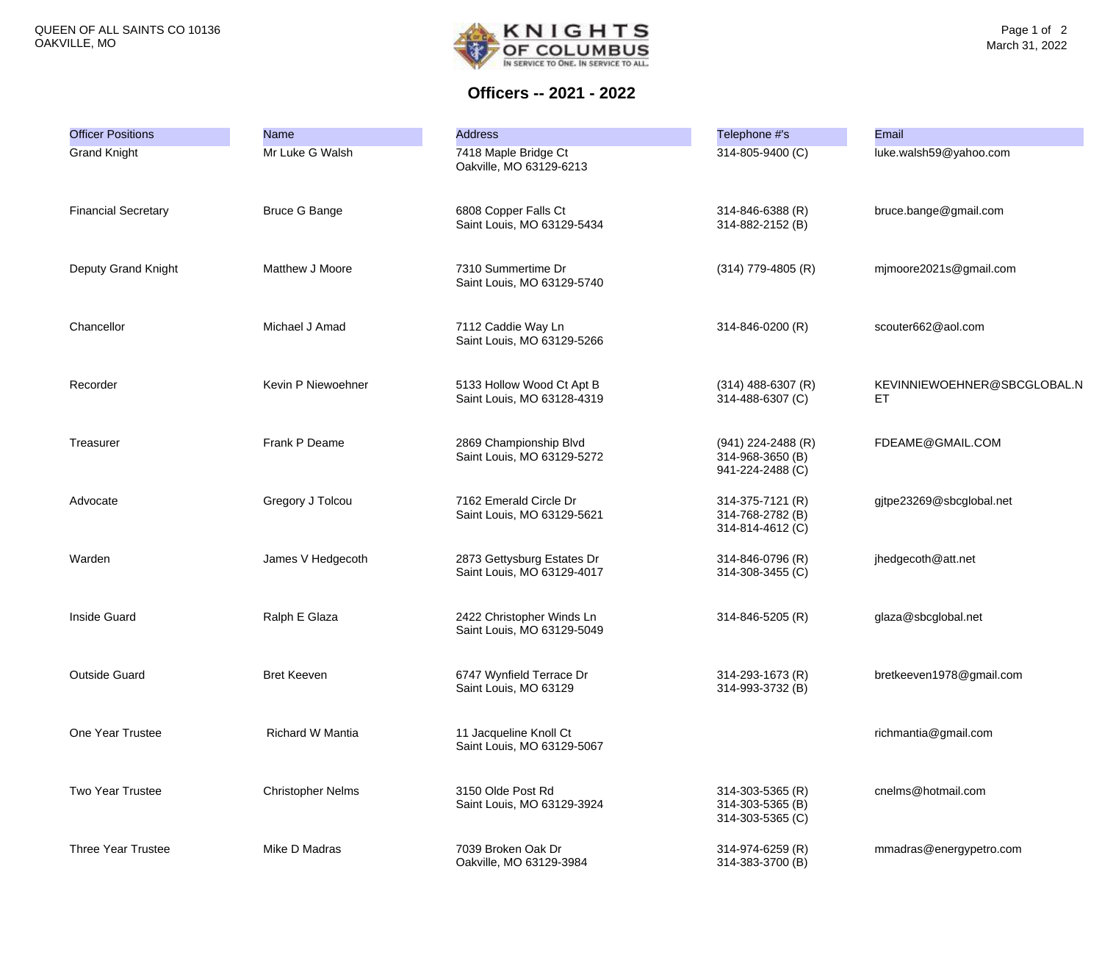

**Officers -- 2021 - 2022**

| <b>Officer Positions</b>   | <b>Name</b>              | <b>Address</b>                                           | Telephone #'s                                                | Email                             |
|----------------------------|--------------------------|----------------------------------------------------------|--------------------------------------------------------------|-----------------------------------|
| <b>Grand Knight</b>        | Mr Luke G Walsh          | 7418 Maple Bridge Ct<br>Oakville, MO 63129-6213          | 314-805-9400 (C)                                             | luke.walsh59@yahoo.com            |
| <b>Financial Secretary</b> | <b>Bruce G Bange</b>     | 6808 Copper Falls Ct<br>Saint Louis, MO 63129-5434       | 314-846-6388 (R)<br>314-882-2152 (B)                         | bruce.bange@gmail.com             |
| Deputy Grand Knight        | Matthew J Moore          | 7310 Summertime Dr<br>Saint Louis, MO 63129-5740         | $(314)$ 779-4805 (R)                                         | mjmoore2021s@gmail.com            |
| Chancellor                 | Michael J Amad           | 7112 Caddie Way Ln<br>Saint Louis, MO 63129-5266         | 314-846-0200 (R)                                             | scouter662@aol.com                |
| Recorder                   | Kevin P Niewoehner       | 5133 Hollow Wood Ct Apt B<br>Saint Louis, MO 63128-4319  | $(314)$ 488-6307 (R)<br>314-488-6307 (C)                     | KEVINNIEWOEHNER@SBCGLOBAL.N<br>ET |
| Treasurer                  | Frank P Deame            | 2869 Championship Blvd<br>Saint Louis, MO 63129-5272     | $(941)$ 224-2488 (R)<br>314-968-3650 (B)<br>941-224-2488 (C) | FDEAME@GMAIL.COM                  |
| Advocate                   | Gregory J Tolcou         | 7162 Emerald Circle Dr<br>Saint Louis, MO 63129-5621     | 314-375-7121 (R)<br>314-768-2782 (B)<br>314-814-4612 (C)     | gjtpe23269@sbcglobal.net          |
| Warden                     | James V Hedgecoth        | 2873 Gettysburg Estates Dr<br>Saint Louis, MO 63129-4017 | 314-846-0796 (R)<br>314-308-3455 (C)                         | jhedgecoth@att.net                |
| <b>Inside Guard</b>        | Ralph E Glaza            | 2422 Christopher Winds Ln<br>Saint Louis, MO 63129-5049  | 314-846-5205 (R)                                             | glaza@sbcglobal.net               |
| <b>Outside Guard</b>       | <b>Bret Keeven</b>       | 6747 Wynfield Terrace Dr<br>Saint Louis, MO 63129        | 314-293-1673 (R)<br>314-993-3732 (B)                         | bretkeeven1978@gmail.com          |
| One Year Trustee           | Richard W Mantia         | 11 Jacqueline Knoll Ct<br>Saint Louis, MO 63129-5067     |                                                              | richmantia@gmail.com              |
| <b>Two Year Trustee</b>    | <b>Christopher Nelms</b> | 3150 Olde Post Rd<br>Saint Louis, MO 63129-3924          | 314-303-5365 (R)<br>314-303-5365 (B)<br>314-303-5365 (C)     | cnelms@hotmail.com                |
| <b>Three Year Trustee</b>  | Mike D Madras            | 7039 Broken Oak Dr<br>Oakville, MO 63129-3984            | 314-974-6259 (R)<br>314-383-3700 (B)                         | mmadras@energypetro.com           |